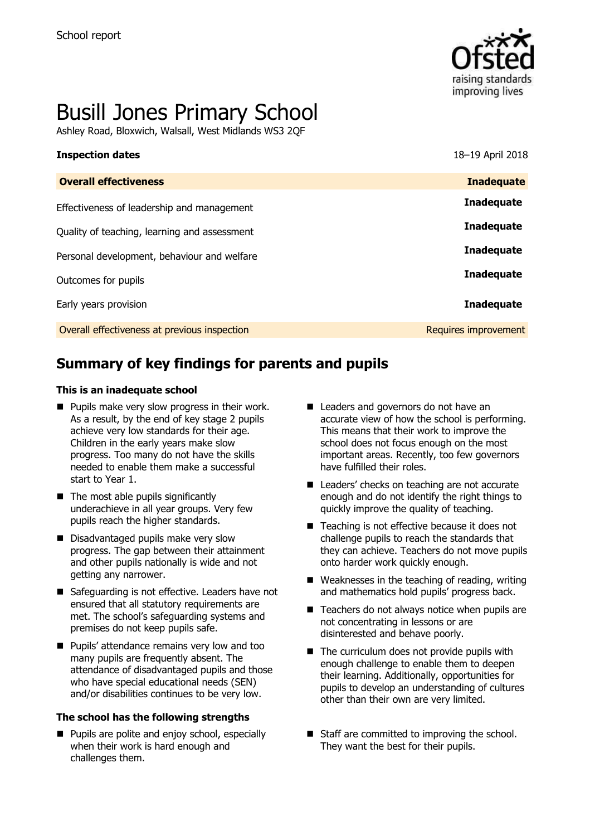

# Busill Jones Primary School

Ashley Road, Bloxwich, Walsall, West Midlands WS3 2QF

| 18-19 April 2018     |
|----------------------|
| <b>Inadequate</b>    |
| <b>Inadequate</b>    |
| <b>Inadequate</b>    |
| <b>Inadequate</b>    |
| <b>Inadequate</b>    |
| <b>Inadequate</b>    |
| Requires improvement |
|                      |

# **Summary of key findings for parents and pupils**

#### **This is an inadequate school**

- $\blacksquare$  Pupils make very slow progress in their work. As a result, by the end of key stage 2 pupils achieve very low standards for their age. Children in the early years make slow progress. Too many do not have the skills needed to enable them make a successful start to Year 1.
- $\blacksquare$  The most able pupils significantly underachieve in all year groups. Very few pupils reach the higher standards.
- Disadvantaged pupils make very slow progress. The gap between their attainment and other pupils nationally is wide and not getting any narrower.
- Safeguarding is not effective. Leaders have not ensured that all statutory requirements are met. The school's safeguarding systems and premises do not keep pupils safe.
- **Pupils' attendance remains very low and too** many pupils are frequently absent. The attendance of disadvantaged pupils and those who have special educational needs (SEN) and/or disabilities continues to be very low.

#### **The school has the following strengths**

**Pupils are polite and enjoy school, especially** when their work is hard enough and challenges them.

- Leaders and governors do not have an accurate view of how the school is performing. This means that their work to improve the school does not focus enough on the most important areas. Recently, too few governors have fulfilled their roles.
- Leaders' checks on teaching are not accurate enough and do not identify the right things to quickly improve the quality of teaching.
- Teaching is not effective because it does not challenge pupils to reach the standards that they can achieve. Teachers do not move pupils onto harder work quickly enough.
- $\blacksquare$  Weaknesses in the teaching of reading, writing and mathematics hold pupils' progress back.
- $\blacksquare$  Teachers do not always notice when pupils are not concentrating in lessons or are disinterested and behave poorly.
- $\blacksquare$  The curriculum does not provide pupils with enough challenge to enable them to deepen their learning. Additionally, opportunities for pupils to develop an understanding of cultures other than their own are very limited.
- Staff are committed to improving the school. They want the best for their pupils.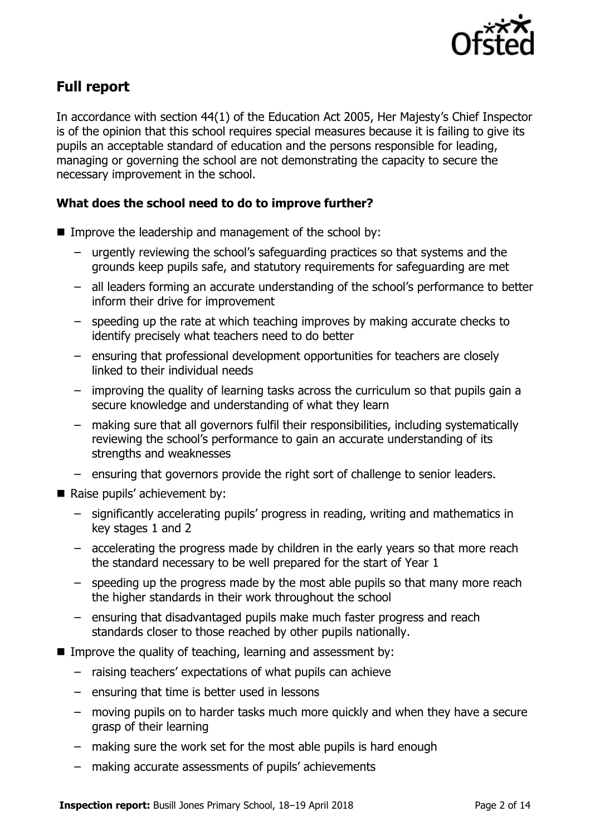

# **Full report**

In accordance with section 44(1) of the Education Act 2005, Her Majesty's Chief Inspector is of the opinion that this school requires special measures because it is failing to give its pupils an acceptable standard of education and the persons responsible for leading, managing or governing the school are not demonstrating the capacity to secure the necessary improvement in the school.

### **What does the school need to do to improve further?**

- Improve the leadership and management of the school by:
	- urgently reviewing the school's safeguarding practices so that systems and the grounds keep pupils safe, and statutory requirements for safeguarding are met
	- all leaders forming an accurate understanding of the school's performance to better inform their drive for improvement
	- speeding up the rate at which teaching improves by making accurate checks to identify precisely what teachers need to do better
	- ensuring that professional development opportunities for teachers are closely linked to their individual needs
	- improving the quality of learning tasks across the curriculum so that pupils gain a secure knowledge and understanding of what they learn
	- making sure that all governors fulfil their responsibilities, including systematically reviewing the school's performance to gain an accurate understanding of its strengths and weaknesses
	- ensuring that governors provide the right sort of challenge to senior leaders.
- Raise pupils' achievement by:
	- significantly accelerating pupils' progress in reading, writing and mathematics in key stages 1 and 2
	- accelerating the progress made by children in the early years so that more reach the standard necessary to be well prepared for the start of Year 1
	- speeding up the progress made by the most able pupils so that many more reach the higher standards in their work throughout the school
	- ensuring that disadvantaged pupils make much faster progress and reach standards closer to those reached by other pupils nationally.
- Improve the quality of teaching, learning and assessment by:
	- raising teachers' expectations of what pupils can achieve
	- ensuring that time is better used in lessons
	- moving pupils on to harder tasks much more quickly and when they have a secure grasp of their learning
	- making sure the work set for the most able pupils is hard enough
	- making accurate assessments of pupils' achievements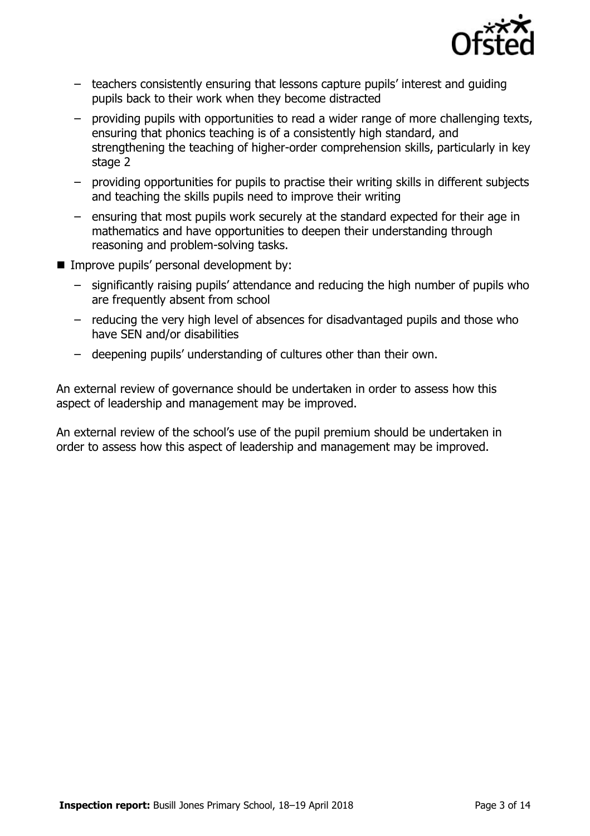

- teachers consistently ensuring that lessons capture pupils' interest and guiding pupils back to their work when they become distracted
- providing pupils with opportunities to read a wider range of more challenging texts, ensuring that phonics teaching is of a consistently high standard, and strengthening the teaching of higher-order comprehension skills, particularly in key stage 2
- providing opportunities for pupils to practise their writing skills in different subjects and teaching the skills pupils need to improve their writing
- ensuring that most pupils work securely at the standard expected for their age in mathematics and have opportunities to deepen their understanding through reasoning and problem-solving tasks.
- Improve pupils' personal development by:
	- significantly raising pupils' attendance and reducing the high number of pupils who are frequently absent from school
	- reducing the very high level of absences for disadvantaged pupils and those who have SEN and/or disabilities
	- deepening pupils' understanding of cultures other than their own.

An external review of governance should be undertaken in order to assess how this aspect of leadership and management may be improved.

An external review of the school's use of the pupil premium should be undertaken in order to assess how this aspect of leadership and management may be improved.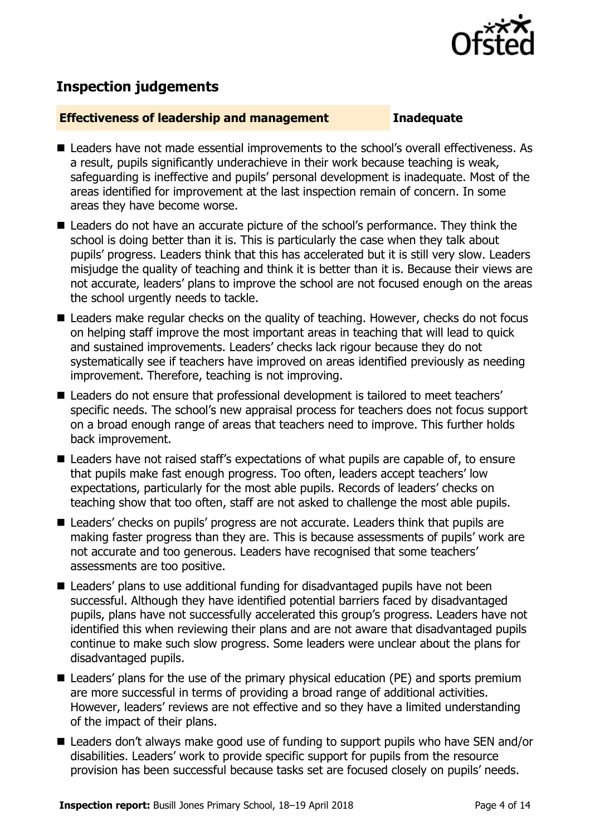

# **Inspection judgements**

#### **Effectiveness of leadership and management Inadequate**

- Leaders have not made essential improvements to the school's overall effectiveness. As a result, pupils significantly underachieve in their work because teaching is weak, safeguarding is ineffective and pupils' personal development is inadequate. Most of the areas identified for improvement at the last inspection remain of concern. In some areas they have become worse.
- Leaders do not have an accurate picture of the school's performance. They think the school is doing better than it is. This is particularly the case when they talk about pupils' progress. Leaders think that this has accelerated but it is still very slow. Leaders misjudge the quality of teaching and think it is better than it is. Because their views are not accurate, leaders' plans to improve the school are not focused enough on the areas the school urgently needs to tackle.
- Leaders make regular checks on the quality of teaching. However, checks do not focus on helping staff improve the most important areas in teaching that will lead to quick and sustained improvements. Leaders' checks lack rigour because they do not systematically see if teachers have improved on areas identified previously as needing improvement. Therefore, teaching is not improving.
- Leaders do not ensure that professional development is tailored to meet teachers' specific needs. The school's new appraisal process for teachers does not focus support on a broad enough range of areas that teachers need to improve. This further holds back improvement.
- Leaders have not raised staff's expectations of what pupils are capable of, to ensure that pupils make fast enough progress. Too often, leaders accept teachers' low expectations, particularly for the most able pupils. Records of leaders' checks on teaching show that too often, staff are not asked to challenge the most able pupils.
- Leaders' checks on pupils' progress are not accurate. Leaders think that pupils are making faster progress than they are. This is because assessments of pupils' work are not accurate and too generous. Leaders have recognised that some teachers' assessments are too positive.
- Leaders' plans to use additional funding for disadvantaged pupils have not been successful. Although they have identified potential barriers faced by disadvantaged pupils, plans have not successfully accelerated this group's progress. Leaders have not identified this when reviewing their plans and are not aware that disadvantaged pupils continue to make such slow progress. Some leaders were unclear about the plans for disadvantaged pupils.
- Leaders' plans for the use of the primary physical education (PE) and sports premium are more successful in terms of providing a broad range of additional activities. However, leaders' reviews are not effective and so they have a limited understanding of the impact of their plans.
- Leaders don't always make good use of funding to support pupils who have SEN and/or disabilities. Leaders' work to provide specific support for pupils from the resource provision has been successful because tasks set are focused closely on pupils' needs.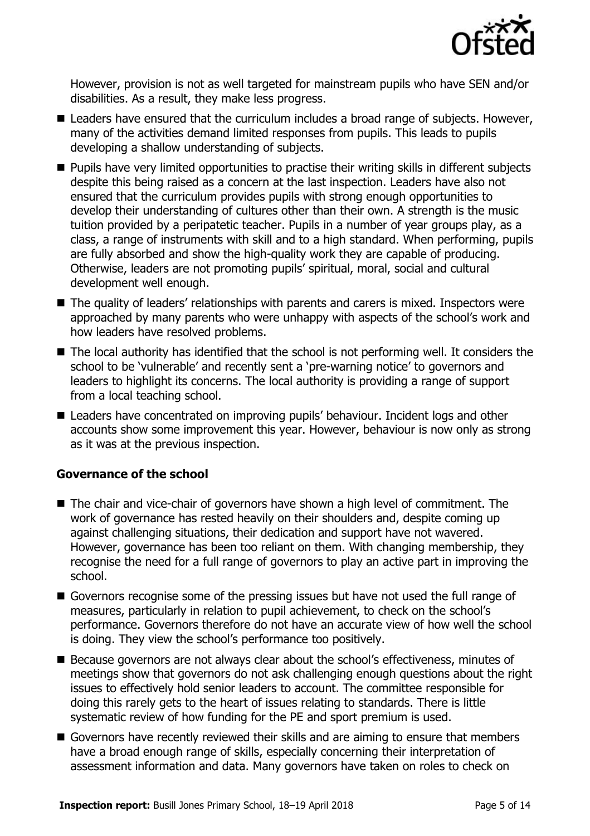

However, provision is not as well targeted for mainstream pupils who have SEN and/or disabilities. As a result, they make less progress.

- Leaders have ensured that the curriculum includes a broad range of subjects. However, many of the activities demand limited responses from pupils. This leads to pupils developing a shallow understanding of subjects.
- **Pupils have very limited opportunities to practise their writing skills in different subjects** despite this being raised as a concern at the last inspection. Leaders have also not ensured that the curriculum provides pupils with strong enough opportunities to develop their understanding of cultures other than their own. A strength is the music tuition provided by a peripatetic teacher. Pupils in a number of year groups play, as a class, a range of instruments with skill and to a high standard. When performing, pupils are fully absorbed and show the high-quality work they are capable of producing. Otherwise, leaders are not promoting pupils' spiritual, moral, social and cultural development well enough.
- The quality of leaders' relationships with parents and carers is mixed. Inspectors were approached by many parents who were unhappy with aspects of the school's work and how leaders have resolved problems.
- The local authority has identified that the school is not performing well. It considers the school to be 'vulnerable' and recently sent a 'pre-warning notice' to governors and leaders to highlight its concerns. The local authority is providing a range of support from a local teaching school.
- Leaders have concentrated on improving pupils' behaviour. Incident logs and other accounts show some improvement this year. However, behaviour is now only as strong as it was at the previous inspection.

### **Governance of the school**

- The chair and vice-chair of governors have shown a high level of commitment. The work of governance has rested heavily on their shoulders and, despite coming up against challenging situations, their dedication and support have not wavered. However, governance has been too reliant on them. With changing membership, they recognise the need for a full range of governors to play an active part in improving the school.
- Governors recognise some of the pressing issues but have not used the full range of measures, particularly in relation to pupil achievement, to check on the school's performance. Governors therefore do not have an accurate view of how well the school is doing. They view the school's performance too positively.
- Because governors are not always clear about the school's effectiveness, minutes of meetings show that governors do not ask challenging enough questions about the right issues to effectively hold senior leaders to account. The committee responsible for doing this rarely gets to the heart of issues relating to standards. There is little systematic review of how funding for the PE and sport premium is used.
- Governors have recently reviewed their skills and are aiming to ensure that members have a broad enough range of skills, especially concerning their interpretation of assessment information and data. Many governors have taken on roles to check on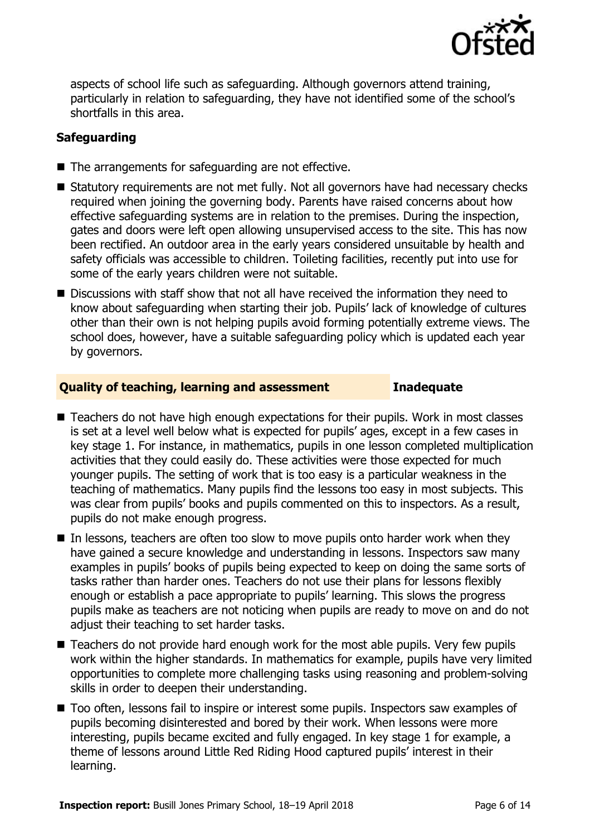

aspects of school life such as safeguarding. Although governors attend training, particularly in relation to safeguarding, they have not identified some of the school's shortfalls in this area.

### **Safeguarding**

- The arrangements for safeguarding are not effective.
- Statutory requirements are not met fully. Not all governors have had necessary checks required when joining the governing body. Parents have raised concerns about how effective safeguarding systems are in relation to the premises. During the inspection, gates and doors were left open allowing unsupervised access to the site. This has now been rectified. An outdoor area in the early years considered unsuitable by health and safety officials was accessible to children. Toileting facilities, recently put into use for some of the early years children were not suitable.
- Discussions with staff show that not all have received the information they need to know about safeguarding when starting their job. Pupils' lack of knowledge of cultures other than their own is not helping pupils avoid forming potentially extreme views. The school does, however, have a suitable safeguarding policy which is updated each year by governors.

### **Quality of teaching, learning and assessment Inadequate**

- Teachers do not have high enough expectations for their pupils. Work in most classes is set at a level well below what is expected for pupils' ages, except in a few cases in key stage 1. For instance, in mathematics, pupils in one lesson completed multiplication activities that they could easily do. These activities were those expected for much younger pupils. The setting of work that is too easy is a particular weakness in the teaching of mathematics. Many pupils find the lessons too easy in most subjects. This was clear from pupils' books and pupils commented on this to inspectors. As a result, pupils do not make enough progress.
- $\blacksquare$  In lessons, teachers are often too slow to move pupils onto harder work when they have gained a secure knowledge and understanding in lessons. Inspectors saw many examples in pupils' books of pupils being expected to keep on doing the same sorts of tasks rather than harder ones. Teachers do not use their plans for lessons flexibly enough or establish a pace appropriate to pupils' learning. This slows the progress pupils make as teachers are not noticing when pupils are ready to move on and do not adjust their teaching to set harder tasks.
- $\blacksquare$  Teachers do not provide hard enough work for the most able pupils. Very few pupils work within the higher standards. In mathematics for example, pupils have very limited opportunities to complete more challenging tasks using reasoning and problem-solving skills in order to deepen their understanding.
- Too often, lessons fail to inspire or interest some pupils. Inspectors saw examples of pupils becoming disinterested and bored by their work. When lessons were more interesting, pupils became excited and fully engaged. In key stage 1 for example, a theme of lessons around Little Red Riding Hood captured pupils' interest in their learning.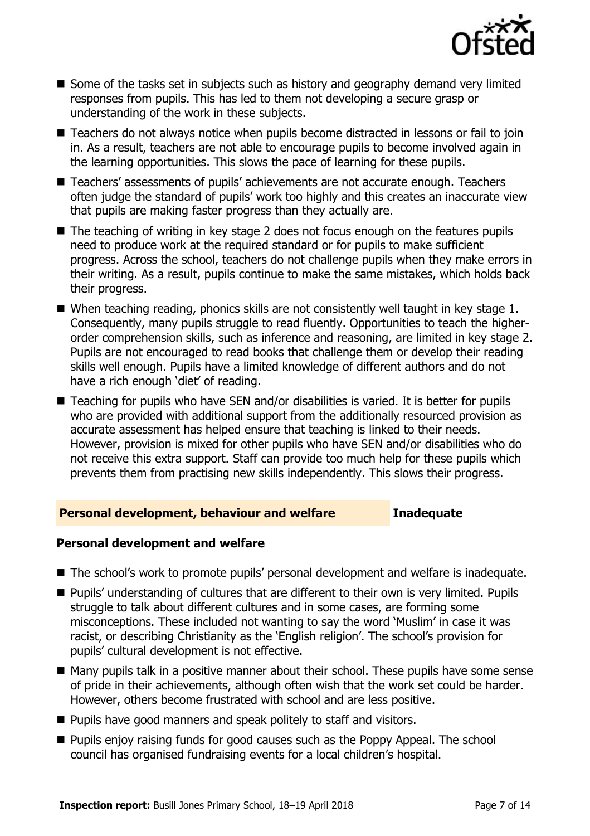

- Some of the tasks set in subjects such as history and geography demand very limited responses from pupils. This has led to them not developing a secure grasp or understanding of the work in these subjects.
- Teachers do not always notice when pupils become distracted in lessons or fail to join in. As a result, teachers are not able to encourage pupils to become involved again in the learning opportunities. This slows the pace of learning for these pupils.
- Teachers' assessments of pupils' achievements are not accurate enough. Teachers often judge the standard of pupils' work too highly and this creates an inaccurate view that pupils are making faster progress than they actually are.
- The teaching of writing in key stage 2 does not focus enough on the features pupils need to produce work at the required standard or for pupils to make sufficient progress. Across the school, teachers do not challenge pupils when they make errors in their writing. As a result, pupils continue to make the same mistakes, which holds back their progress.
- When teaching reading, phonics skills are not consistently well taught in key stage 1. Consequently, many pupils struggle to read fluently. Opportunities to teach the higherorder comprehension skills, such as inference and reasoning, are limited in key stage 2. Pupils are not encouraged to read books that challenge them or develop their reading skills well enough. Pupils have a limited knowledge of different authors and do not have a rich enough 'diet' of reading.
- Teaching for pupils who have SEN and/or disabilities is varied. It is better for pupils who are provided with additional support from the additionally resourced provision as accurate assessment has helped ensure that teaching is linked to their needs. However, provision is mixed for other pupils who have SEN and/or disabilities who do not receive this extra support. Staff can provide too much help for these pupils which prevents them from practising new skills independently. This slows their progress.

#### **Personal development, behaviour and welfare Inadequate**

#### **Personal development and welfare**

- The school's work to promote pupils' personal development and welfare is inadequate.
- Pupils' understanding of cultures that are different to their own is very limited. Pupils struggle to talk about different cultures and in some cases, are forming some misconceptions. These included not wanting to say the word 'Muslim' in case it was racist, or describing Christianity as the 'English religion'. The school's provision for pupils' cultural development is not effective.
- Many pupils talk in a positive manner about their school. These pupils have some sense of pride in their achievements, although often wish that the work set could be harder. However, others become frustrated with school and are less positive.
- **Pupils have good manners and speak politely to staff and visitors.**
- **Pupils enjoy raising funds for good causes such as the Poppy Appeal. The school** council has organised fundraising events for a local children's hospital.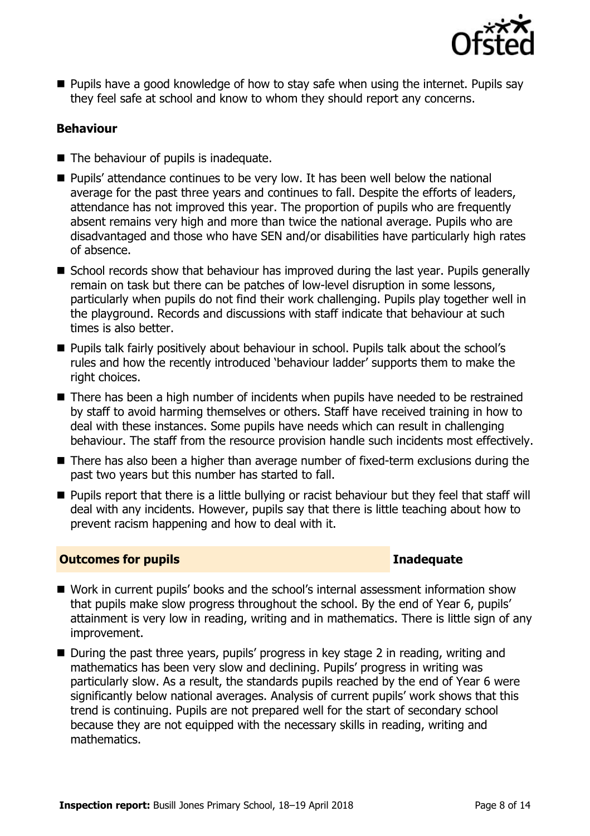

■ Pupils have a good knowledge of how to stay safe when using the internet. Pupils say they feel safe at school and know to whom they should report any concerns.

### **Behaviour**

- The behaviour of pupils is inadequate.
- **Pupils' attendance continues to be very low. It has been well below the national** average for the past three years and continues to fall. Despite the efforts of leaders, attendance has not improved this year. The proportion of pupils who are frequently absent remains very high and more than twice the national average. Pupils who are disadvantaged and those who have SEN and/or disabilities have particularly high rates of absence.
- School records show that behaviour has improved during the last year. Pupils generally remain on task but there can be patches of low-level disruption in some lessons, particularly when pupils do not find their work challenging. Pupils play together well in the playground. Records and discussions with staff indicate that behaviour at such times is also better.
- **Pupils talk fairly positively about behaviour in school. Pupils talk about the school's** rules and how the recently introduced 'behaviour ladder' supports them to make the right choices.
- There has been a high number of incidents when pupils have needed to be restrained by staff to avoid harming themselves or others. Staff have received training in how to deal with these instances. Some pupils have needs which can result in challenging behaviour. The staff from the resource provision handle such incidents most effectively.
- There has also been a higher than average number of fixed-term exclusions during the past two years but this number has started to fall.
- **Pupils report that there is a little bullying or racist behaviour but they feel that staff will** deal with any incidents. However, pupils say that there is little teaching about how to prevent racism happening and how to deal with it.

### **Outcomes for pupils Inadequate**

- Work in current pupils' books and the school's internal assessment information show that pupils make slow progress throughout the school. By the end of Year 6, pupils' attainment is very low in reading, writing and in mathematics. There is little sign of any improvement.
- During the past three years, pupils' progress in key stage 2 in reading, writing and mathematics has been very slow and declining. Pupils' progress in writing was particularly slow. As a result, the standards pupils reached by the end of Year 6 were significantly below national averages. Analysis of current pupils' work shows that this trend is continuing. Pupils are not prepared well for the start of secondary school because they are not equipped with the necessary skills in reading, writing and mathematics.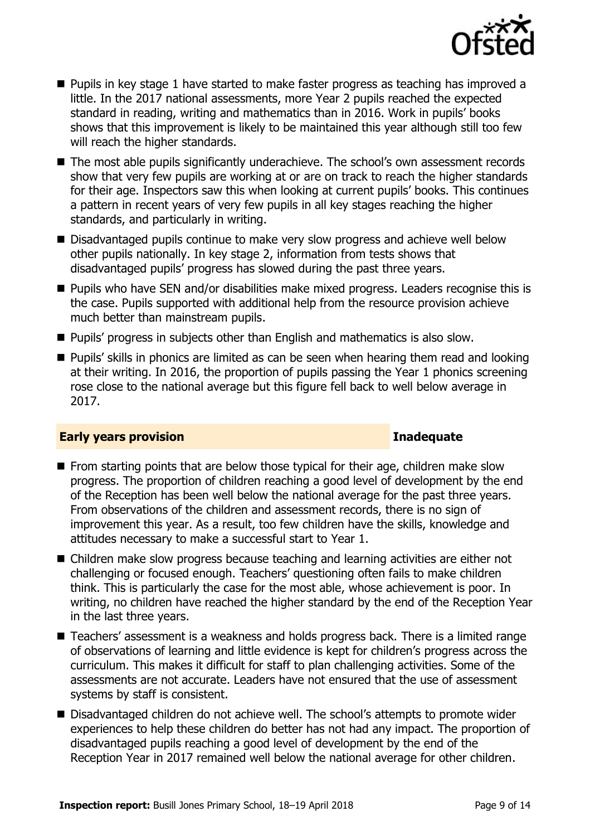

- **Pupils in key stage 1 have started to make faster progress as teaching has improved a** little. In the 2017 national assessments, more Year 2 pupils reached the expected standard in reading, writing and mathematics than in 2016. Work in pupils' books shows that this improvement is likely to be maintained this year although still too few will reach the higher standards.
- The most able pupils significantly underachieve. The school's own assessment records show that very few pupils are working at or are on track to reach the higher standards for their age. Inspectors saw this when looking at current pupils' books. This continues a pattern in recent years of very few pupils in all key stages reaching the higher standards, and particularly in writing.
- Disadvantaged pupils continue to make very slow progress and achieve well below other pupils nationally. In key stage 2, information from tests shows that disadvantaged pupils' progress has slowed during the past three years.
- **Pupils who have SEN and/or disabilities make mixed progress. Leaders recognise this is** the case. Pupils supported with additional help from the resource provision achieve much better than mainstream pupils.
- **Pupils' progress in subjects other than English and mathematics is also slow.**
- **Pupils'** skills in phonics are limited as can be seen when hearing them read and looking at their writing. In 2016, the proportion of pupils passing the Year 1 phonics screening rose close to the national average but this figure fell back to well below average in 2017.

#### **Early years provision Inadequate**

- **From starting points that are below those typical for their age, children make slow** progress. The proportion of children reaching a good level of development by the end of the Reception has been well below the national average for the past three years. From observations of the children and assessment records, there is no sign of improvement this year. As a result, too few children have the skills, knowledge and attitudes necessary to make a successful start to Year 1.
- Children make slow progress because teaching and learning activities are either not challenging or focused enough. Teachers' questioning often fails to make children think. This is particularly the case for the most able, whose achievement is poor. In writing, no children have reached the higher standard by the end of the Reception Year in the last three years.
- Teachers' assessment is a weakness and holds progress back. There is a limited range of observations of learning and little evidence is kept for children's progress across the curriculum. This makes it difficult for staff to plan challenging activities. Some of the assessments are not accurate. Leaders have not ensured that the use of assessment systems by staff is consistent.
- Disadvantaged children do not achieve well. The school's attempts to promote wider experiences to help these children do better has not had any impact. The proportion of disadvantaged pupils reaching a good level of development by the end of the Reception Year in 2017 remained well below the national average for other children.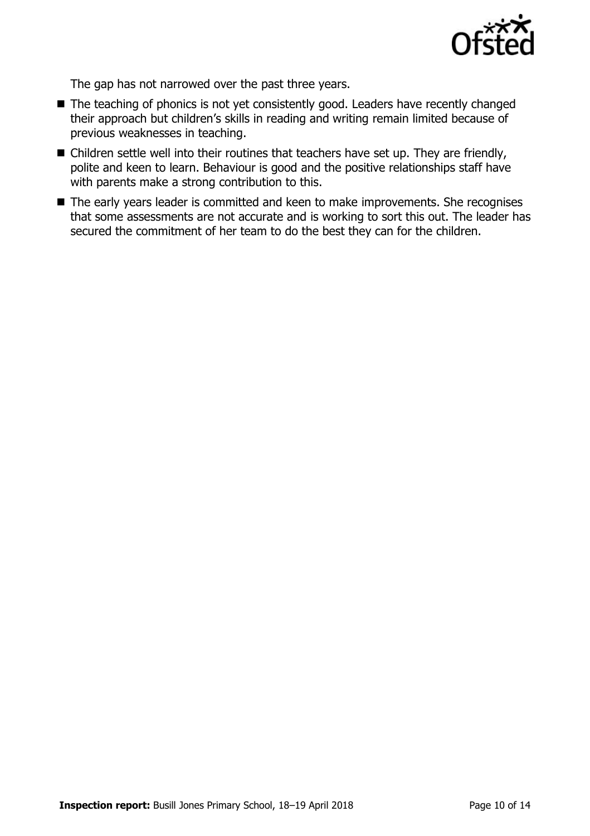

The gap has not narrowed over the past three years.

- The teaching of phonics is not yet consistently good. Leaders have recently changed their approach but children's skills in reading and writing remain limited because of previous weaknesses in teaching.
- Children settle well into their routines that teachers have set up. They are friendly, polite and keen to learn. Behaviour is good and the positive relationships staff have with parents make a strong contribution to this.
- The early years leader is committed and keen to make improvements. She recognises that some assessments are not accurate and is working to sort this out. The leader has secured the commitment of her team to do the best they can for the children.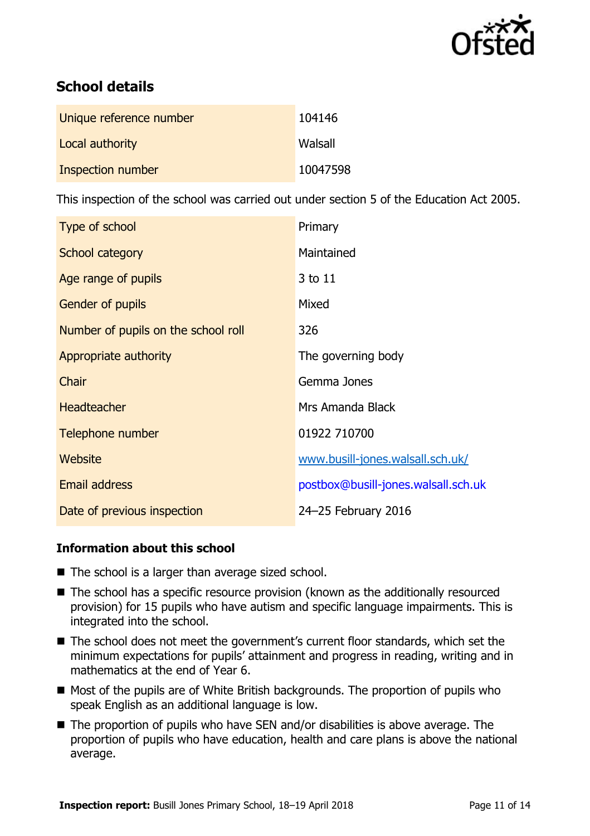

# **School details**

| Unique reference number | 104146   |
|-------------------------|----------|
| Local authority         | Walsall  |
| Inspection number       | 10047598 |

This inspection of the school was carried out under section 5 of the Education Act 2005.

| Type of school                      | Primary                             |
|-------------------------------------|-------------------------------------|
| School category                     | Maintained                          |
| Age range of pupils                 | 3 to 11                             |
| <b>Gender of pupils</b>             | Mixed                               |
| Number of pupils on the school roll | 326                                 |
| Appropriate authority               | The governing body                  |
| Chair                               | Gemma Jones                         |
| <b>Headteacher</b>                  | Mrs Amanda Black                    |
| Telephone number                    | 01922 710700                        |
| Website                             | www.busill-jones.walsall.sch.uk/    |
| Email address                       | postbox@busill-jones.walsall.sch.uk |
| Date of previous inspection         | 24-25 February 2016                 |

### **Information about this school**

- The school is a larger than average sized school.
- The school has a specific resource provision (known as the additionally resourced provision) for 15 pupils who have autism and specific language impairments. This is integrated into the school.
- The school does not meet the government's current floor standards, which set the minimum expectations for pupils' attainment and progress in reading, writing and in mathematics at the end of Year 6.
- $\blacksquare$  Most of the pupils are of White British backgrounds. The proportion of pupils who speak English as an additional language is low.
- The proportion of pupils who have SEN and/or disabilities is above average. The proportion of pupils who have education, health and care plans is above the national average.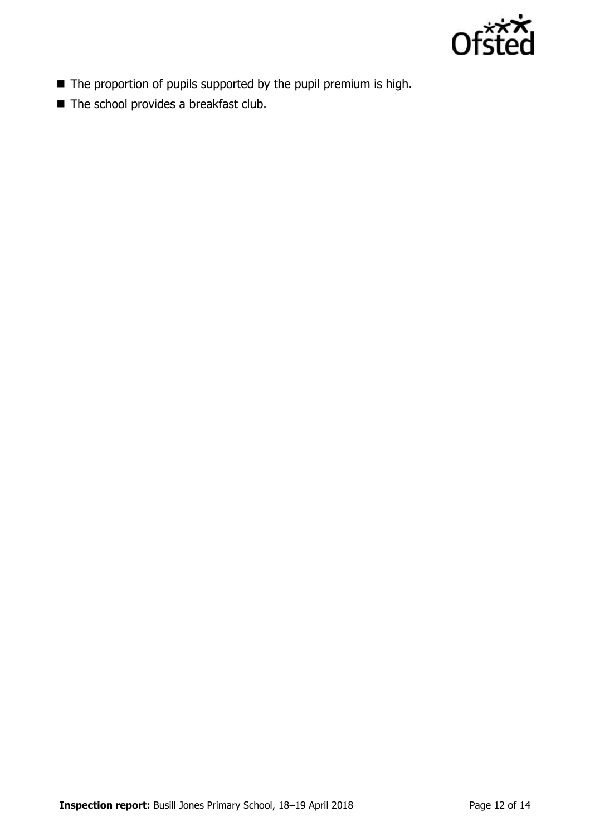

- The proportion of pupils supported by the pupil premium is high.
- The school provides a breakfast club.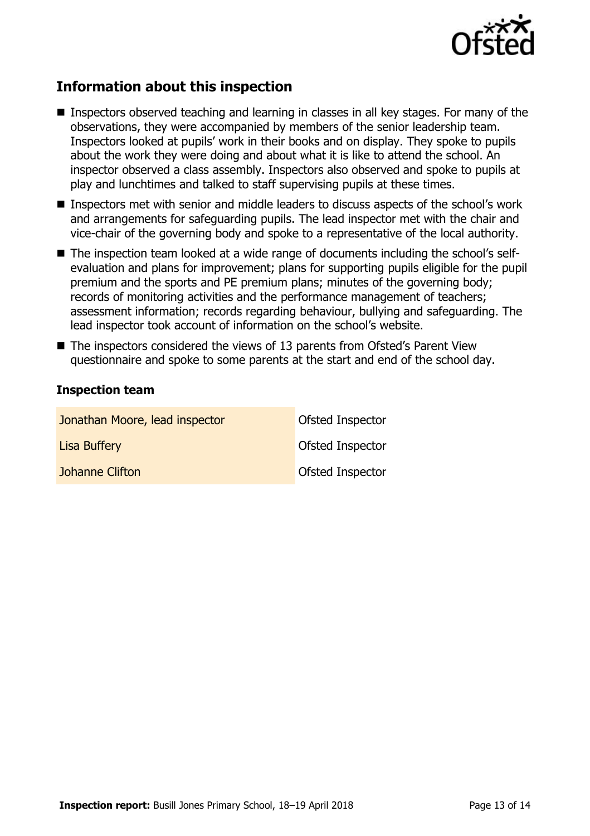

# **Information about this inspection**

- Inspectors observed teaching and learning in classes in all key stages. For many of the observations, they were accompanied by members of the senior leadership team. Inspectors looked at pupils' work in their books and on display. They spoke to pupils about the work they were doing and about what it is like to attend the school. An inspector observed a class assembly. Inspectors also observed and spoke to pupils at play and lunchtimes and talked to staff supervising pupils at these times.
- Inspectors met with senior and middle leaders to discuss aspects of the school's work and arrangements for safeguarding pupils. The lead inspector met with the chair and vice-chair of the governing body and spoke to a representative of the local authority.
- The inspection team looked at a wide range of documents including the school's selfevaluation and plans for improvement; plans for supporting pupils eligible for the pupil premium and the sports and PE premium plans; minutes of the governing body; records of monitoring activities and the performance management of teachers; assessment information; records regarding behaviour, bullying and safeguarding. The lead inspector took account of information on the school's website.
- The inspectors considered the views of 13 parents from Ofsted's Parent View questionnaire and spoke to some parents at the start and end of the school day.

#### **Inspection team**

| Jonathan Moore, lead inspector | Ofsted Inspector        |
|--------------------------------|-------------------------|
| <b>Lisa Buffery</b>            | Ofsted Inspector        |
| Johanne Clifton                | <b>Ofsted Inspector</b> |